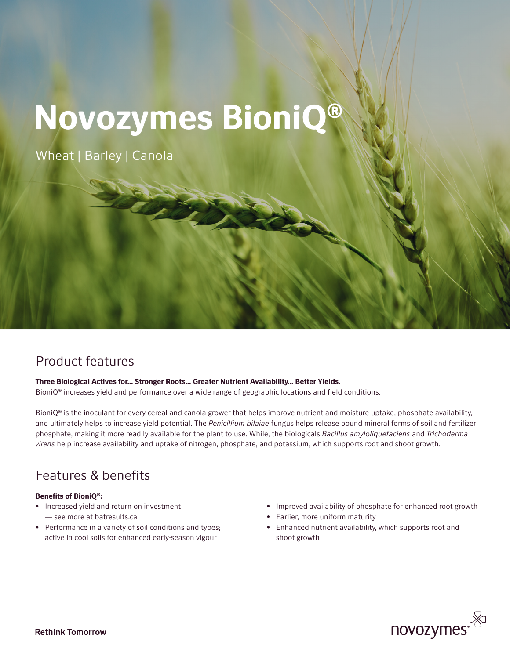# Novozymes BioniQ®

Wheat | Barley | Canola

## Product features

Three Biological Actives for… Stronger Roots… Greater Nutrient Availability… Better Yields. BioniQ® increases yield and performance over a wide range of geographic locations and field conditions.

Bioni $Q^{\circ}$  is the inoculant for every cereal and canola grower that helps improve nutrient and moisture uptake, phosphate availability, and ultimately helps to increase yield potential. The *Penicillium bilaiae* fungus helps release bound mineral forms of soil and fertilizer phosphate, making it more readily available for the plant to use. While, the biologicals *Bacillus amyloliquefaciens* and *Trichoderma virens* help increase availability and uptake of nitrogen, phosphate, and potassium, which supports root and shoot growth.

## Features & benefits

### Benefits of BioniQ®:

- Increased yield and return on investment — see more at batresults.ca
- Performance in a variety of soil conditions and types; active in cool soils for enhanced early-season vigour
- Improved availability of phosphate for enhanced root growth
- Earlier, more uniform maturity
- Enhanced nutrient availability, which supports root and shoot growth